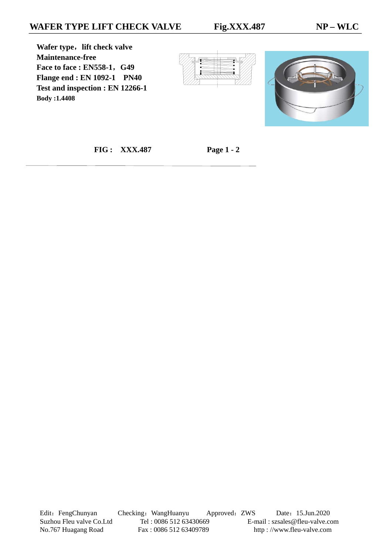**Wafer type**,**lift check valve Maintenance-free Face to face : EN558-1**,**G49 Flange end : EN 1092-1 PN40 Test and inspection : EN 12266-1 Body :1.4408** 





 **FIG : XXX.487 Page 1 - 2**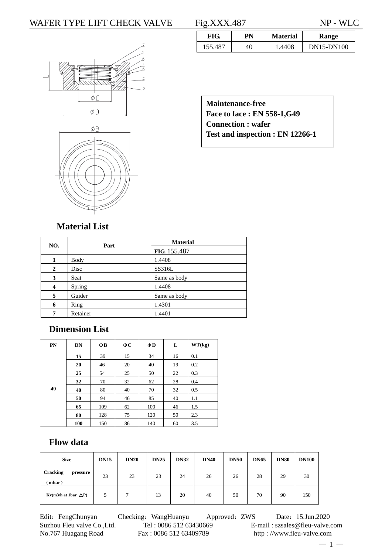#### WAFER TYPE LIFT CHECK VALVE Fig.XXX.487 NP - WLC





|         | PN | <b>Material</b> | Range      |
|---------|----|-----------------|------------|
| 155.487 |    | .4408           | DN15-DN100 |

**Maintenance-free Face to face : EN 558-1,G49 Connection : wafer Test and inspection : EN 12266-1** 

## **Material List**

| NO.            | Part     | <b>Material</b> |
|----------------|----------|-----------------|
|                |          | FIG. 155.487    |
| 1              | Body     | 1.4408          |
| $\overline{2}$ | Disc     | SS316L          |
| 3              | Seat     | Same as body    |
| 4              | Spring   | 1.4408          |
| 5              | Guider   | Same as body    |
| 6              | Ring     | 1.4301          |
| 7              | Retainer | 1.4401          |

# **Dimension List**

| PN | DN  | ΦB  | ФC | $\Phi$ D | L  | WT(kg) |
|----|-----|-----|----|----------|----|--------|
|    | 15  | 39  | 15 | 34       | 16 | 0.1    |
|    | 20  | 46  | 20 | 40       | 19 | 0.2    |
|    | 25  | 54  | 25 | 50       | 22 | 0.3    |
|    | 32  | 70  | 32 | 62       | 28 | 0.4    |
| 40 | 40  | 80  | 40 | 70       | 32 | 0.5    |
|    | 50  | 94  | 46 | 85       | 40 | 1.1    |
|    | 65  | 109 | 62 | 100      | 46 | 1.5    |
|    | 80  | 128 | 75 | 120      | 50 | 2.3    |
|    | 100 | 150 | 86 | 140      | 60 | 3.5    |

### **Flow data**

| <b>Size</b>                           | <b>DN15</b> | <b>DN20</b> | <b>DN25</b> | <b>DN32</b> | <b>DN40</b> | <b>DN50</b> | <b>DN65</b> | <b>DN80</b> | <b>DN100</b> |
|---------------------------------------|-------------|-------------|-------------|-------------|-------------|-------------|-------------|-------------|--------------|
| <b>Cracking</b><br>pressure<br>(mbar) | 23          | 23          | 23          | 24          | 26          | 26          | 28          | 29          | 30           |
| Kv(m3/h at 1bar $\Delta P$ )          | 5           | ┑           | 13          | 20          | 40          | 50          | 70          | 90          | 150          |

Edit: FengChunyan Checking: WangHuanyu Approved: ZWS Date: 15.Jun.2020 No.767 Huagang Road Fax : 0086 512 63409789 http : //www.fleu-valve.com

Suzhou Fleu valve Co.,Ltd. Tel : 0086 512 63430669 E-mail : szsales@fleu-valve.com